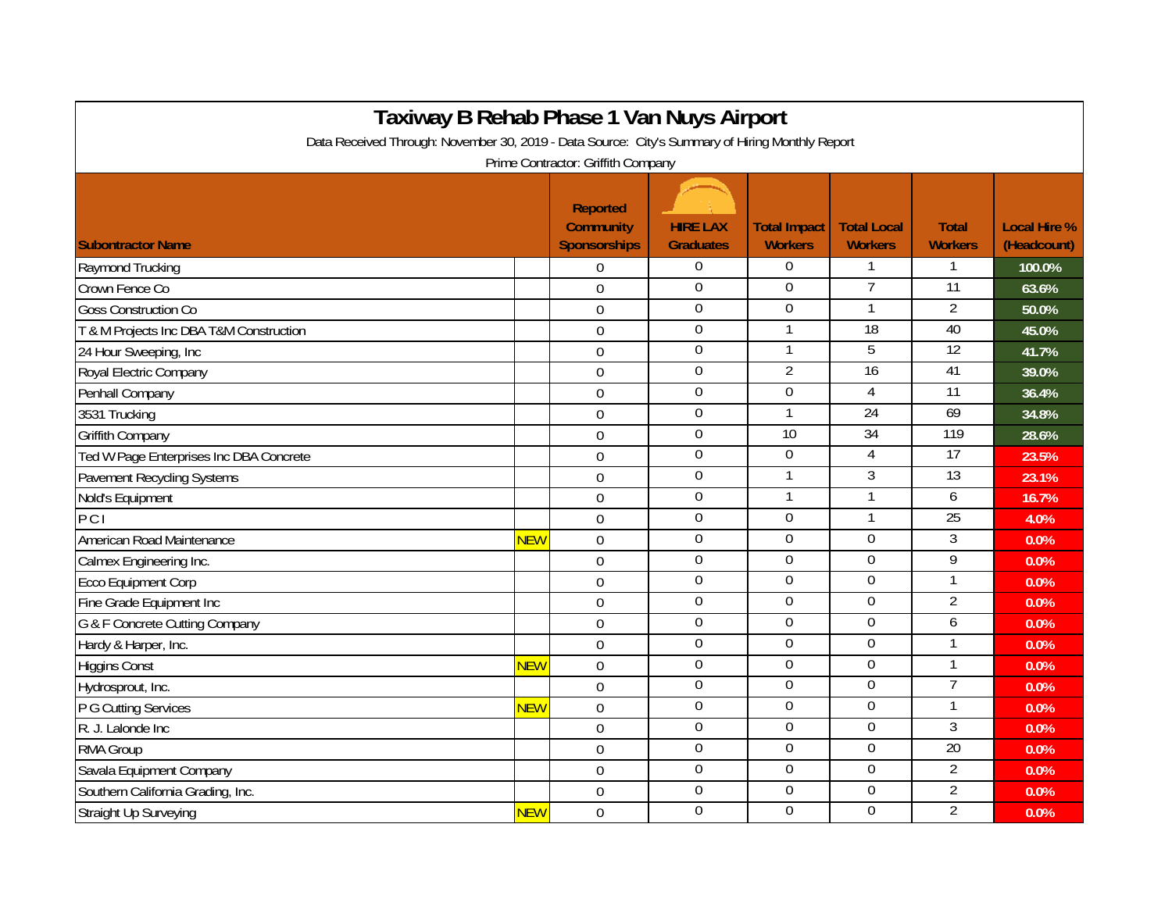| Taxiway B Rehab Phase 1 Van Nuys Airport                                                                                              |            |                                                     |                                     |                                       |                                      |                                |                                    |  |  |  |  |
|---------------------------------------------------------------------------------------------------------------------------------------|------------|-----------------------------------------------------|-------------------------------------|---------------------------------------|--------------------------------------|--------------------------------|------------------------------------|--|--|--|--|
| Data Received Through: November 30, 2019 - Data Source: City's Summary of Hiring Monthly Report<br>Prime Contractor: Griffith Company |            |                                                     |                                     |                                       |                                      |                                |                                    |  |  |  |  |
| <b>Subontractor Name</b>                                                                                                              |            | Reported<br><b>Community</b><br><b>Sponsorships</b> | <b>HIRE LAX</b><br><b>Graduates</b> | <b>Total Impact</b><br><b>Workers</b> | <b>Total Local</b><br><b>Workers</b> | <b>Total</b><br><b>Workers</b> | <b>Local Hire %</b><br>(Headcount) |  |  |  |  |
| Raymond Trucking                                                                                                                      |            | $\boldsymbol{0}$                                    | $\mathbf{0}$                        | $\Omega$                              | 1                                    | 1                              | 100.0%                             |  |  |  |  |
| Crown Fence Co                                                                                                                        |            | $\mathbf 0$                                         | $\boldsymbol{0}$                    | $\boldsymbol{0}$                      | $\overline{7}$                       | $\overline{11}$                | 63.6%                              |  |  |  |  |
| <b>Goss Construction Co</b>                                                                                                           |            | $\mathbf 0$                                         | $\overline{0}$                      | $\overline{0}$                        | $\mathbf{1}$                         | $\overline{2}$                 | 50.0%                              |  |  |  |  |
| T & M Projects Inc DBA T&M Construction                                                                                               |            | $\mathbf 0$                                         | $\mathbf{0}$                        |                                       | $\overline{18}$                      | 40                             | 45.0%                              |  |  |  |  |
| 24 Hour Sweeping, Inc                                                                                                                 |            | $\mathbf 0$                                         | $\overline{0}$                      | 1                                     | 5                                    | 12                             | 41.7%                              |  |  |  |  |
| Royal Electric Company                                                                                                                |            | $\mathbf 0$                                         | $\overline{0}$                      | $\overline{2}$                        | $\overline{16}$                      | 41                             | 39.0%                              |  |  |  |  |
| Penhall Company                                                                                                                       |            | $\mathbf 0$                                         | $\mathbf{0}$                        | $\boldsymbol{0}$                      | 4                                    | 11                             | 36.4%                              |  |  |  |  |
| 3531 Trucking                                                                                                                         |            | $\boldsymbol{0}$                                    | $\overline{0}$                      |                                       | 24                                   | 69                             | 34.8%                              |  |  |  |  |
| <b>Griffith Company</b>                                                                                                               |            | $\overline{0}$                                      | $\boldsymbol{0}$                    | $\overline{10}$                       | $\overline{34}$                      | 119                            | 28.6%                              |  |  |  |  |
| Ted W Page Enterprises Inc DBA Concrete                                                                                               |            | $\overline{0}$                                      | $\mathbf{0}$                        | $\Omega$                              | 4                                    | 17                             | 23.5%                              |  |  |  |  |
| Pavement Recycling Systems                                                                                                            |            | $\overline{0}$                                      | $\mathbf 0$                         |                                       | 3                                    | $\overline{13}$                | 23.1%                              |  |  |  |  |
| Nold's Equipment                                                                                                                      |            | $\overline{0}$                                      | $\overline{0}$                      |                                       | 1                                    | 6                              | 16.7%                              |  |  |  |  |
| PCI                                                                                                                                   |            | $\overline{0}$                                      | $\boldsymbol{0}$                    | $\mathbf 0$                           | 1                                    | 25                             | 4.0%                               |  |  |  |  |
| American Road Maintenance                                                                                                             | <b>NEW</b> | $\Omega$                                            | $\boldsymbol{0}$                    | $\mathbf 0$                           | 0                                    | $\mathfrak{Z}$                 | 0.0%                               |  |  |  |  |
| Calmex Engineering Inc.                                                                                                               |            | $\overline{0}$                                      | $\boldsymbol{0}$                    | $\Omega$                              | $\Omega$                             | 9                              | 0.0%                               |  |  |  |  |
| Ecco Equipment Corp                                                                                                                   |            | $\overline{0}$                                      | $\boldsymbol{0}$                    | $\Omega$                              | 0                                    | 1                              | 0.0%                               |  |  |  |  |
| Fine Grade Equipment Inc                                                                                                              |            | $\overline{0}$                                      | $\overline{0}$                      | $\overline{0}$                        | $\overline{0}$                       | $\overline{2}$                 | 0.0%                               |  |  |  |  |
| G & F Concrete Cutting Company                                                                                                        |            | $\overline{0}$                                      | $\boldsymbol{0}$                    | $\Omega$                              | $\overline{0}$                       | 6                              | 0.0%                               |  |  |  |  |
| Hardy & Harper, Inc.                                                                                                                  |            | $\overline{0}$                                      | $\overline{0}$                      | $\boldsymbol{0}$                      | 0                                    | 1                              | 0.0%                               |  |  |  |  |
| <b>Higgins Const</b>                                                                                                                  | <b>NEW</b> | $\overline{0}$                                      | $\overline{0}$                      | $\overline{0}$                        | $\overline{0}$                       | 1                              | 0.0%                               |  |  |  |  |
| Hydrosprout, Inc.                                                                                                                     |            | $\Omega$                                            | $\overline{0}$                      | $\overline{0}$                        | $\overline{0}$                       | $\overline{7}$                 | 0.0%                               |  |  |  |  |
| P G Cutting Services                                                                                                                  | <b>NEW</b> | $\overline{0}$                                      | $\mathbf 0$                         | $\mathbf 0$                           | $\mathbf 0$                          | 1                              | 0.0%                               |  |  |  |  |
| R. J. Lalonde Inc.                                                                                                                    |            | $\overline{0}$                                      | $\mathbf 0$                         | $\overline{0}$                        | 0                                    | $\overline{3}$                 | 0.0%                               |  |  |  |  |
| RMA Group                                                                                                                             |            | $\Omega$                                            | $\overline{0}$                      | $\overline{0}$                        | 0                                    | 20                             | 0.0%                               |  |  |  |  |
| Savala Equipment Company                                                                                                              |            | $\mathbf 0$                                         | $\overline{0}$                      | $\overline{0}$                        | $\overline{0}$                       | $\overline{2}$                 | 0.0%                               |  |  |  |  |
| Southern California Grading, Inc.                                                                                                     |            | $\overline{0}$                                      | $\boldsymbol{0}$                    | $\mathbf 0$                           | 0                                    | $\overline{2}$                 | 0.0%                               |  |  |  |  |
| <b>Straight Up Surveying</b>                                                                                                          | <b>NEW</b> | $\Omega$                                            | $\mathbf 0$                         | $\overline{0}$                        | $\overline{0}$                       | $\overline{2}$                 | 0.0%                               |  |  |  |  |